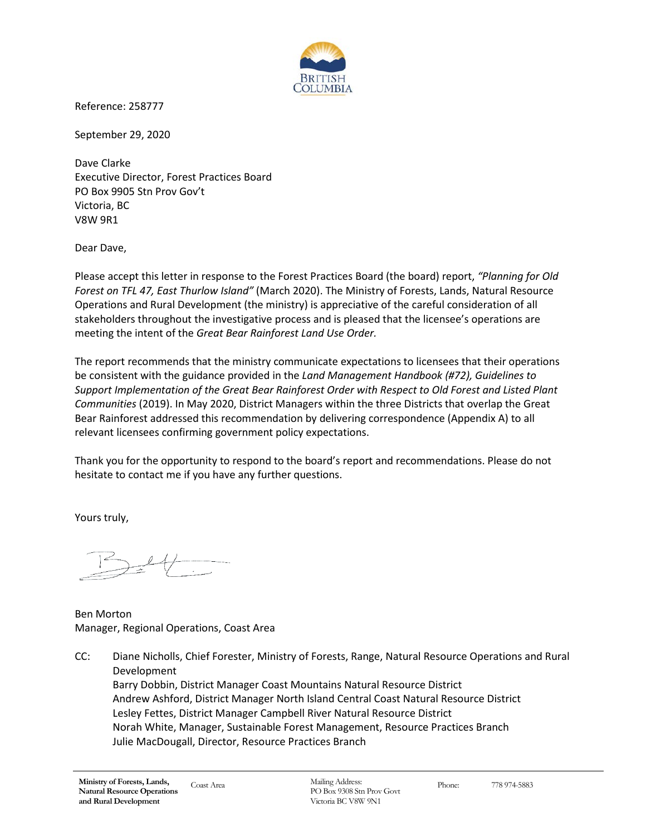

Reference: 258777

September 29, 2020

Dave Clarke Executive Director, Forest Practices Board PO Box 9905 Stn Prov Gov't Victoria, BC V8W 9R1

Dear Dave,

Please accept this letter in response to the Forest Practices Board (the board) report, *"Planning for Old Forest on TFL 47, East Thurlow Island"* (March 2020). The Ministry of Forests, Lands, Natural Resource Operations and Rural Development (the ministry) is appreciative of the careful consideration of all stakeholders throughout the investigative process and is pleased that the licensee's operations are meeting the intent of the *Great Bear Rainforest Land Use Order.*

The report recommends that the ministry communicate expectations to licensees that their operations be consistent with the guidance provided in the *Land Management Handbook (#72), Guidelines to Support Implementation of the Great Bear Rainforest Order with Respect to Old Forest and Listed Plant Communities* (2019). In May 2020, District Managers within the three Districts that overlap the Great Bear Rainforest addressed this recommendation by delivering correspondence (Appendix A) to all relevant licensees confirming government policy expectations.

Thank you for the opportunity to respond to the board's report and recommendations. Please do not hesitate to contact me if you have any further questions.

Yours truly,

Ben Morton Manager, Regional Operations, Coast Area

CC: Diane Nicholls, Chief Forester, Ministry of Forests, Range, Natural Resource Operations and Rural Development Barry Dobbin, District Manager Coast Mountains Natural Resource District Andrew Ashford, District Manager North Island Central Coast Natural Resource District Lesley Fettes, District Manager Campbell River Natural Resource District Norah White, Manager, Sustainable Forest Management, Resource Practices Branch Julie MacDougall, Director, Resource Practices Branch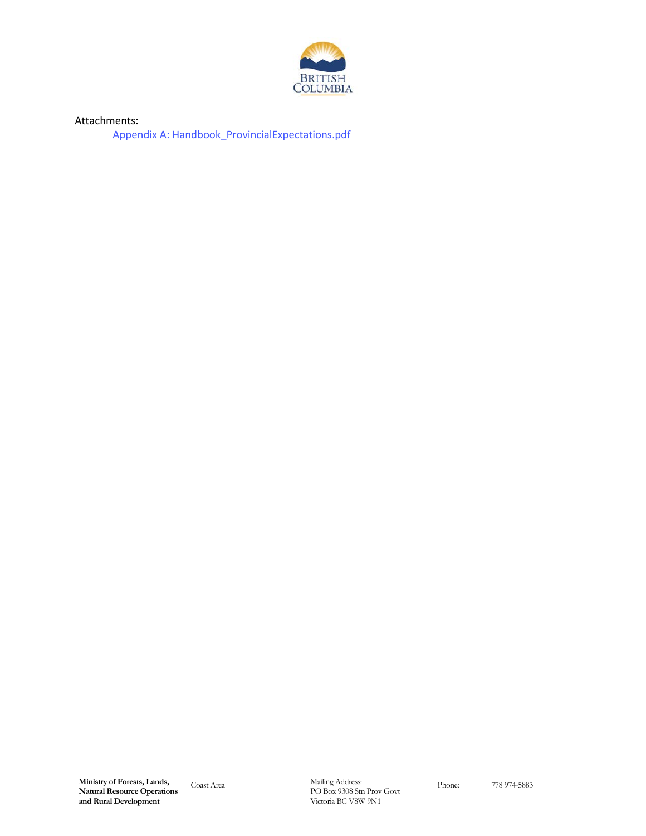

Attachments:

[Appendix A: Handbook\\_ProvincialExpectations.pdf](https://www.bcfpb.ca/wp-content/uploads/2020/10/Handbook-Provincial-Expectations.pdf)